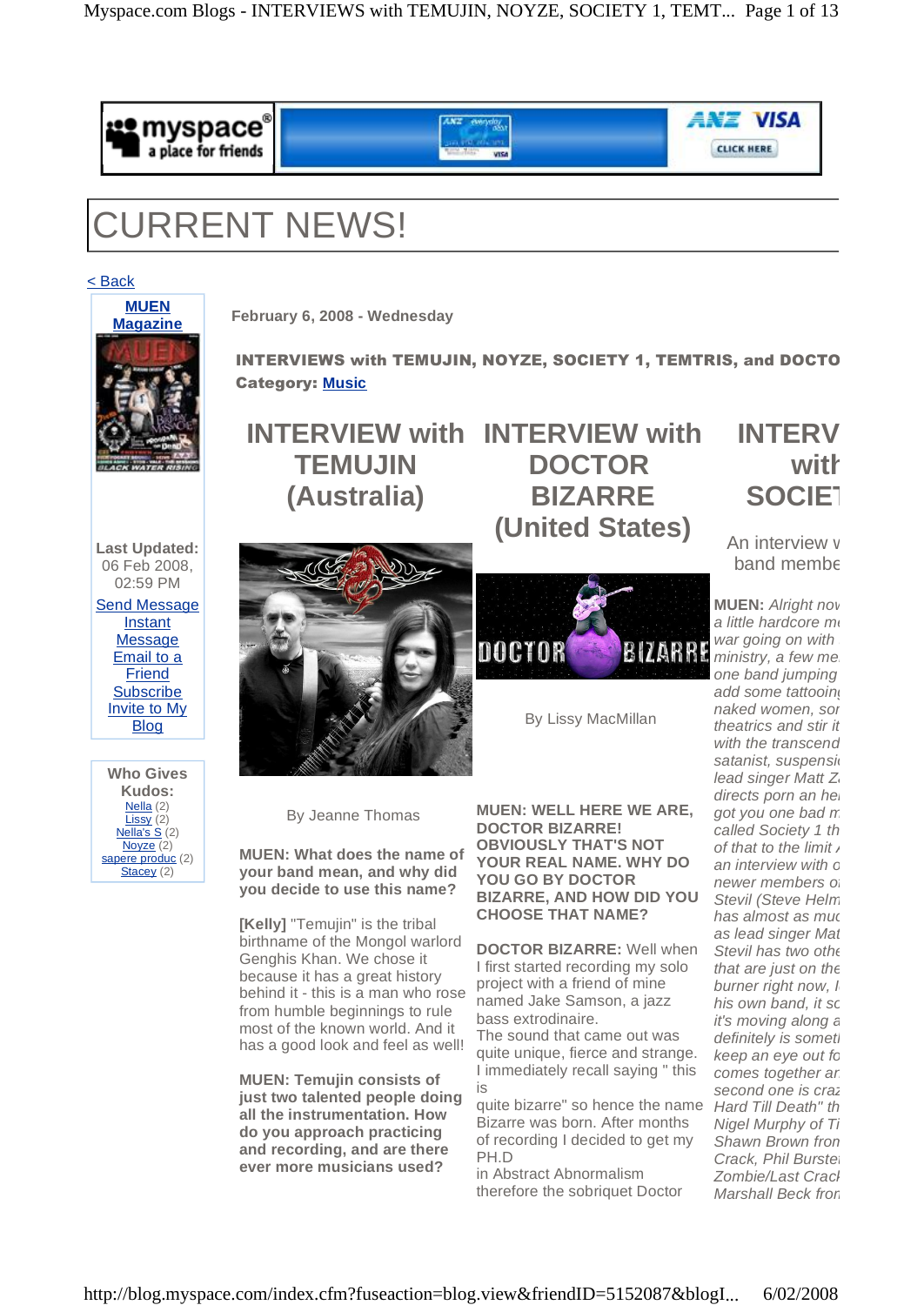

# CURRENT NEWS!

< Back



**February 6, 2008 - Wednesday**

INTERVIEWS with TEMUJIN, NOYZE, SOCIETY 1, TEMTRIS, and DOCTO Category: **Music**

**INTERVIEW with INTERVIEW with TEMUJIN (Australia)**

**DOCTOR BIZARRE (United States)**

**Last Updated:** 06 Feb 2008, 02:59 PM

Send Message Instant **Message** Email to a Friend **Subscribe** Invite to My Blog





**DOCTOR BIZARRE** 

By Lissy MacMillan

By Jeanne Thomas

**MUEN: What does the name of your band mean, and why did you decide to use this name?**

**[Kelly]** "Temujin" is the tribal birthname of the Mongol warlord Genghis Khan. We chose it because it has a great history behind it- this is a man who rose from humble beginnings to rule most of the known world. And it has a good look and feel as well!

**MUEN: Temujin consists of just two talented people doing all the instrumentation. How do you approach practicing and recording, and are there ever more musicians used?**

**MUEN: WELL HERE WE ARE, DOCTOR BIZARRE! OBVIOUSLY THAT'S NOT YOUR REAL NAME. WHY DO YOU GO BY DOCTOR BIZARRE, AND HOW DID YOU CHOOSE THAT NAME?**

**DOCTOR BIZARRE:** Well when I first started recording my solo project with a friend of mine named Jake Samson, a jazz bass extrodinaire.

The sound that came out was quite unique, fierce and strange. I immediately recall saying " this is

quite bizarre" so hence the name Bizarre was born. After months of recording I decided to get my PH.D

in Abstract Abnormalism therefore the sobriquet Doctor

## **INTERV with SOCIET**

An interview v  $band$  member

**MUEN:** Alright now a little hardcore metal war going on with  $ministry, a few me$ one band jumping add some tattooin naked women, sor theatrics and stir it with the transcena satanist, suspensi lead singer Matt  $Z$ directs porn an he got you one bad  $n$ called Society 1 th of that to the limit, an interview with c newer members of Stevil (Steve Helm has almost as mud as lead singer Mat Stevil has two other that are just on the burner right now, I his own band, it so it's moving along  $\varepsilon$ definitely is somet keep an eye out for comes together ar second one is craz Hard Till Death" th Nigel Murphy of  $T_1$ Shawn Brown fron Crack, Phil Burstet Zombie/Last Craci Marshall Beck fror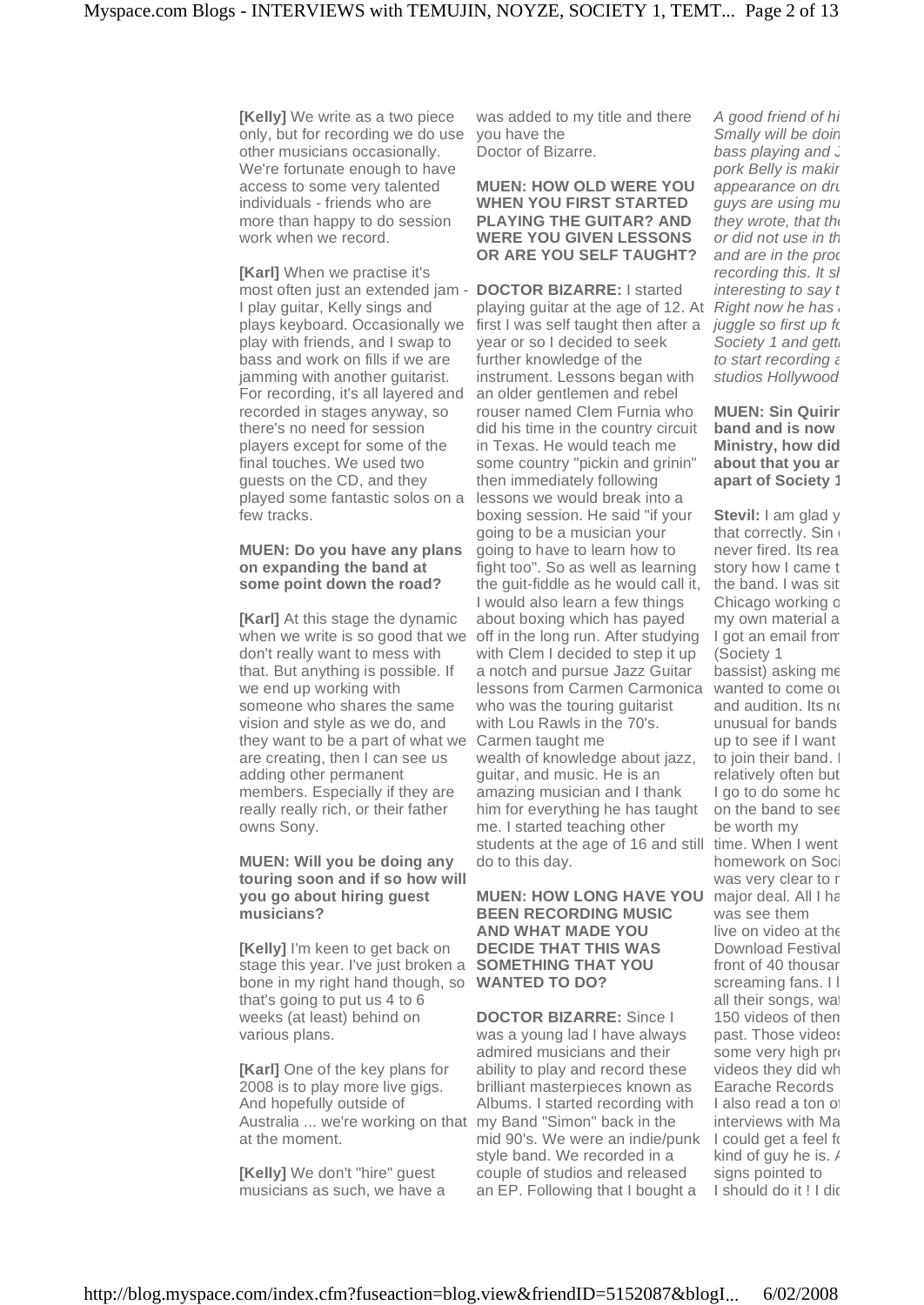**[Kelly]** We write as a two piece only, but for recording we do use other musicians occasionally. We're fortunate enough to have access to some very talented individuals - friends who are more than happy to do session work when we record.

**[Karl]** When we practise it's most often just an extended jam - **DOCTOR BIZARRE:** I started I play guitar, Kelly sings and plays keyboard. Occasionally we play with friends, and I swap to bass and work on fills if we are jamming with another guitarist. For recording, it's all layered and recorded in stages anyway, so there's no need for session players except for some of the final touches. We used two guests on the CD, and they played some fantastic solos on a few tracks.

#### **MUEN: Do you have any plans on expanding the band at some point down the road?**

**[Karl]** At this stage the dynamic when we write is so good that we don't really want to mess with that. But anything is possible. If we end up working with someone who shares the same vision and style as we do, and they want to be a part of what we are creating, then I can see us adding other permanent members. Especially if they are really really rich, or their father owns Sony.

#### **MUEN: Will you be doing any touring soon and ifso how will you go about hiring guest musicians?**

**[Kelly]** I'm keen to get back on stage this year. I've just broken a bone in my right hand though, so that's going to put us 4 to 6 weeks (at least) behind on various plans.

**[Karl]** One of the key plans for 2008 is to play more live gigs. And hopefully outside of Australia ... we're working on that my Band "Simon" back in the at the moment.

**[Kelly]** We don't "hire" guest musicians as such, we have a

was added to my title and there you have the Doctor of Bizarre.

**MUEN: HOW OLD WERE YOU WHEN YOU FIRST STARTED PLAYING THE GUITAR? AND WERE YOU GIVEN LESSONS OR ARE YOU SELF TAUGHT?**

playing guitar at the age of 12. At first I was self taught then after a year or so I decided to seek further knowledge of the instrument. Lessons began with an older gentlemen and rebel rouser named Clem Furnia who did his time in the country circuit in Texas. He would teach me some country "pickin and grinin" then immediately following lessons we would break into a boxing session. He said "if your going to be a musician your going to have to learn how to fight too". So as well as learning the guit-fiddle as he would call it, I would also learn a few things about boxing which has payed off in the long run. After studying with Clem I decided to step it up a notch and pursue Jazz Guitar lessons from Carmen Carmonica who was the touring guitarist with Lou Rawls in the 70's. Carmen taught me wealth of knowledge about jazz, guitar, and music. He is an amazing musician and I thank him for everything he has taught me. I started teaching other students at the age of 16 and still do to this day.

#### **MUEN: HOW LONG HAVE YOU BEEN RECORDING MUSIC AND WHAT MADE YOU DECIDE THAT THIS WAS SOMETHING THAT YOU WANTED TO DO?**

**DOCTOR BIZARRE:** Since I was a young lad I have always admired musicians and their ability to play and record these brilliant masterpieces known as Albums. I started recording with mid 90's. We were an indie/punk style band. We recorded in a couple of studios and released an EP. Following that I bought a

A good friend of  $h_i$ Smally will be doir bass playing and  $\overline{a}$ pork Belly is making appearance on dru guys are using mu they wrote, that the or did not use in the and are in the prod recording this. It si interesting to say  $t$ Right now he has juggle so first up for Society 1 and gett to start recording a studios Hollywood.

**MUEN: Sin Quirir band and is now in Ministry, how did about** that you ar **apart of Society 1?**

**Stevil:** I am glad y that correctly. Sin never fired. Its real story how I came to the band. I was sit Chicago working c my own material a I got an email from (Society 1 bassist) asking  $m \epsilon$ wanted to come ou and audition. Its  $n($ unusual for bands up to see if I want to join their band. I relatively often but I go to do some ho on the band to see be worth my time. When I went homework on Soci was very clear to r major deal. All I ha was see them live on video at the Download Festival front of 40 thousar screaming fans. I l all their songs, wat 150 videos of then past. Those videos some very high pro videos they did wh

Earache Records I also read a ton of interviews with Ma I could get a feel for kind of guy he is.  $\prime$ signs pointed to I should do it ! I didn't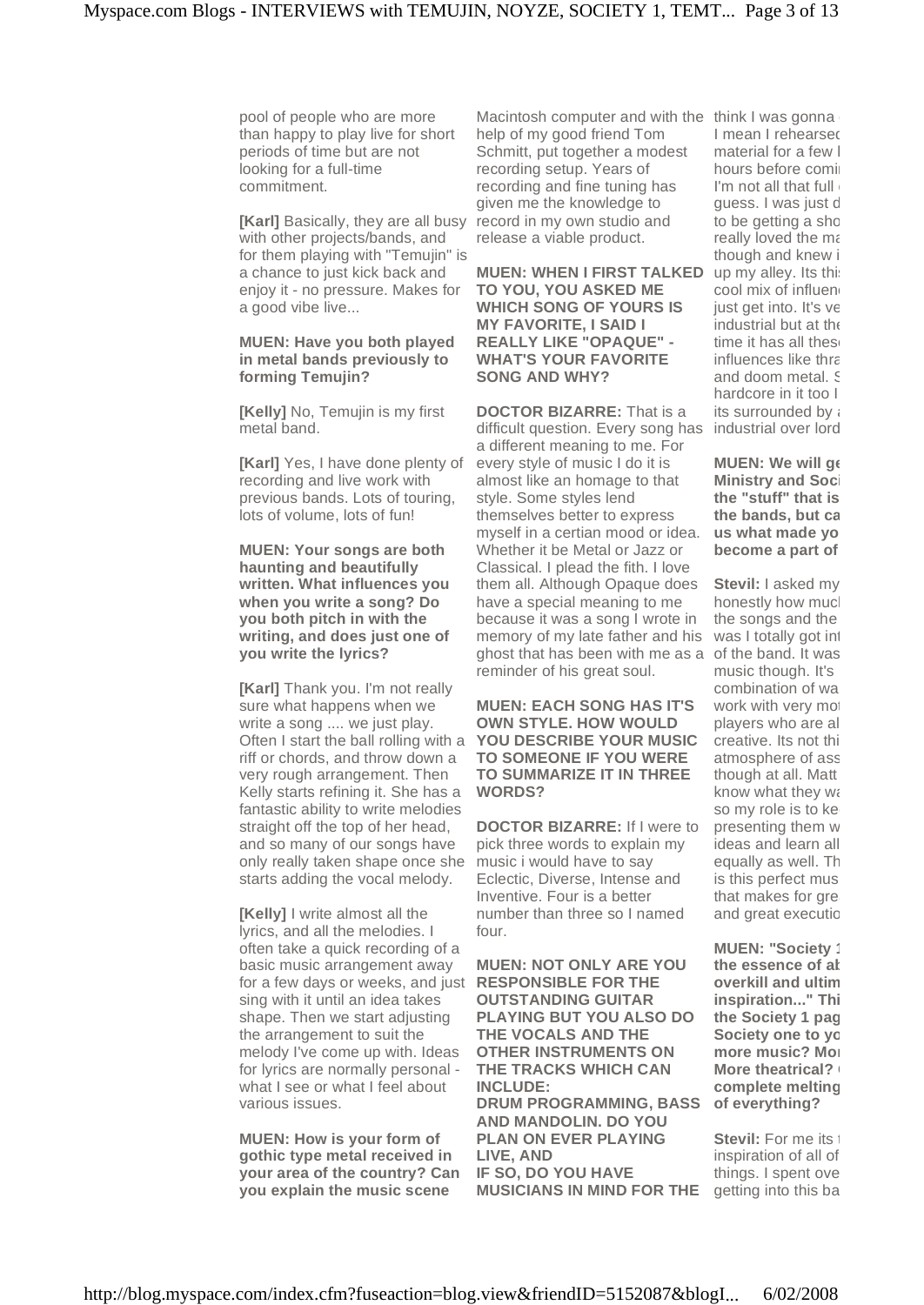pool of people who are more than happy to play live for short periods of time but are not looking for a full-time commitment.

**[Karl]** Basically, they are all busy with other projects/bands, and for them playing with "Temujin" is a chance to just kick back and enjoy it - no pressure. Makes for a good vibe live...

#### **MUEN: Have you both played in metal bands previously to forming Temujin?**

**[Kelly]** No, Temujin is my first metal band.

**[Karl]** Yes, I have done plenty of recording and live work with previous bands. Lots of touring, lots of volume, lots of fun!

**MUEN: Your songs are both haunting and beautifully written. What influences you when you write a song? Do you both pitch in with the writing, and does just one of you write the lyrics?**

[Karl] Thank you. I'm not really sure what happens when we write a song .... we just play. Often I start the ball rolling with a riff or chords, and throw down a very rough arrangement. Then Kelly starts refining it. She has a fantastic ability to write melodies straight off the top of her head, and so many of our songs have only really taken shape once she starts adding the vocal melody.

**[Kelly]** I write almost all the lyrics, and all the melodies. I often take a quick recording of a basic music arrangement away for a few days or weeks, and just sing with it until an idea takes shape. Then we start adjusting the arrangement to suit the melody I've come up with. Ideas for lyrics are normally personal what I see or what I feel about various issues.

**MUEN: How is your form of gothic type metal received in your area of the country? Can you explain the music scene**

Macintosh computer and with the think I was gonna help of my good friend Tom Schmitt, put together a modest recording setup. Years of recording and fine tuning has given me the knowledge to record in my own studio and release a viable product.

**MUEN: WHEN I FIRST TALKED TO YOU, YOU ASKED ME WHICH SONG OF YOURS IS MY FAVORITE, I SAID I REALLY LIKE "OPAQUE" - WHAT'S YOUR FAVORITE SONG AND WHY?**

**DOCTOR BIZARRE:** That is a difficult question. Every song has a different meaning to me. For every style of music I do it is almost like an homage to that style. Some styles lend themselves better to express myself in a certian mood or idea. Whether it be Metal or Jazz or Classical. I plead the fith. I love them all. Although Opaque does have a special meaning to me because it was a song I wrote in memory of my late father and his ghost that has been with me as a reminder of his great soul.

**MUEN: EACH SONG HAS IT'S OWN STYLE. HOW WOULD YOU DESCRIBE YOUR MUSIC TO SOMEONE IF YOU WERE TO SUMMARIZE IT IN THREE WORDS?**

**DOCTOR BIZARRE:** If I were to pick three words to explain my music i would have to say Eclectic, Diverse, Intense and Inventive. Four is a better number than three so I named four.

**MUEN: NOT ONLY ARE YOU RESPONSIBLE FOR THE OUTSTANDING GUITAR PLAYING BUT YOU ALSO DO THE VOCALS AND THE OTHER INSTRUMENTS ON THE TRACKS WHICH CAN INCLUDE: DRUM PROGRAMMING, BASS AND MANDOLIN. DO YOU PLAN ON EVER PLAYING LIVE, AND IF SO, DO YOU HAVE MUSICIANS IN MIND FOR THE**

I mean I rehearsed material for a few  $\mathsf{l}$ hours before comi I'm not all that full quess. I was just d to be getting a shot really loved the ma though and knew it up my alley. Its this cool mix of influen just get into. It's  $ve$ industrial but at the time it has all thes influences like thra and doom metal. § hardcore in it too I its surrounded by a industrial over lord.

**MUEN:** We will get **Ministry** and Society **the** "stuff" that is **the bands, but ca us** what made yo **become** a part of

**Stevil:** I asked my honestly how much the songs and the was I totally got into of the band. It was music though. It's combination of wa work with very mot players who are al creative. Its not thi atmosphere of ass though at all. Matt know what they wa so my role is to ke presenting them w ideas and learn all equally as well. The is this perfect musi that makes for gre and great executic

**MUEN: "Society' the** essence of at **overkill** and ultim  $i$  **inspiration...**" Thi **the Society 1 page. Society** one to you **more** music? More **More theatrical? complete** melting **of everything?**

**Stevil:** For me its inspiration of all of things. I spent ove getting into this ba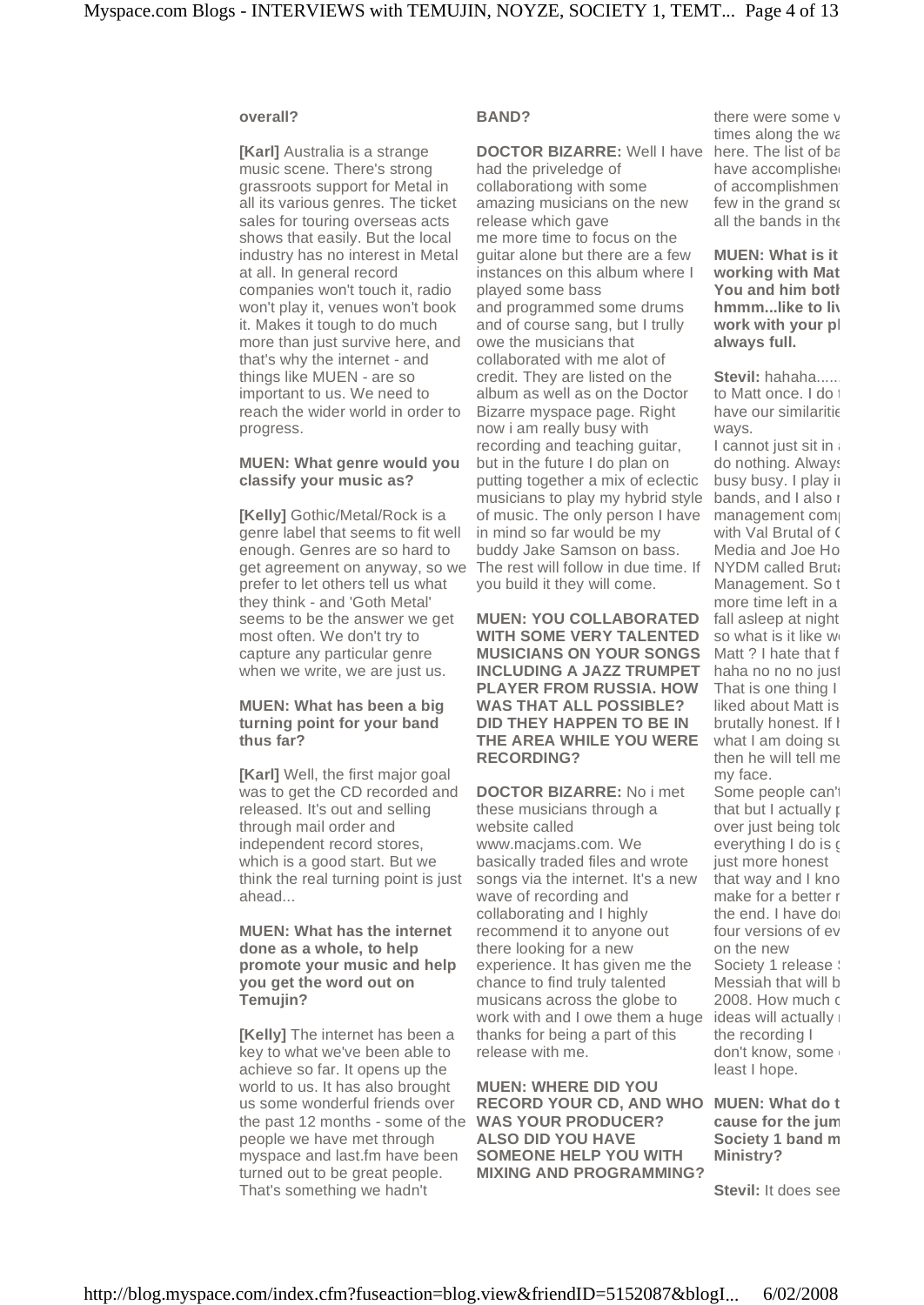#### **overall?**

**[Karl]** Australia is a strange music scene. There's strong grassroots support for Metal in all its various genres. The ticket sales for touring overseas acts shows that easily. But the local industry has no interest in Metal at all. In general record companies won't touch it, radio won't play it, venues won't book it. Makes it tough to do much more than just survive here, and that's why the internet - and things like MUEN - are so important to us. We need to reach the wider world in order to progress.

#### **MUEN: What genre would you classify your music as?**

**[Kelly]** Gothic/Metal/Rock is a genre label that seems to fit well enough. Genres are so hard to get agreement on anyway, so we prefer to let others tell us what they think - and 'Goth Metal' seems to be the answer we get most often. We don't try to capture any particular genre when we write, we are just us.

#### **MUEN: What has been a big turning point for your band thus far?**

**[Karl]** Well, the first major goal was to get the CD recorded and released. It's out and selling through mail order and independent record stores, which is a good start. But we think the real turning point is just ahead...

#### **MUEN: What has the internet done as a whole, to help promote your music and help you get the word out on Temujin?**

**[Kelly]** The internet has been a key to what we've been able to achieve so far. It opens up the world to us. It has also brought us some wonderful friends over the past 12 months - some of the people we have met through myspace and last.fm have been turned out to be great people. That's something we hadn't

#### **BAND?**

**DOCTOR BIZARRE:** Well I have had the priveledge of collaborationg with some amazing musicians on the new release which gave me more time to focus on the guitar alone but there are a few instances on this album where I played some bass and programmed some drums and of course sang, but I trully owe the musicians that collaborated with me alot of credit. They are listed on the album as well as on the Doctor Bizarre myspace page. Right now i am really busy with recording and teaching guitar, but in the future I do plan on putting together a mix of eclectic musicians to play my hybrid style of music. The only person I have in mind so far would be my buddy Jake Samson on bass. The rest will follow in due time. If you build it they will come.

**MUEN: YOU COLLABORATED WITH SOME VERY TALENTED MUSICIANS ON YOUR SONGS INCLUDING A JAZZ TRUMPET PLAYER FROM RUSSIA. HOW WAS THAT ALL POSSIBLE? DID THEY HAPPEN TO BE IN THE AREA WHILE YOU WERE RECORDING?**

**DOCTOR BIZARRE:** No i met these musicians through a website called [www.macjams.com.](http://www.macjams.com.) We basically traded files and wrote songs via the internet. It's a new wave of recording and collaborating and I highly recommend it to anyone out there looking for a new experience. It has given me the chance to find truly talented musicans across the globe to work with and I owe them a huge thanks for being a part of this release with me.

**MUEN: WHERE DID YOU RECORD YOUR CD, AND WHO MUEN: What do think is the WAS YOUR PRODUCER? ALSO DID YOU HAVE SOMEONE HELP YOU WITH MIXING AND PROGRAMMING?**

there were some v times along the way here. The list of  $b\epsilon$ have accomplishe of accomplishmen few in the grand so all the bands in the

**MUEN: What is it working** with Mat **You** and him both **hmmm...like** to live **work** with your pl **always full.**

**Stevil: hahaha.....** to Matt once. I do have our similaritie ways.

I cannot just sit in do nothing. Always busy busy. I play in bands, and I also I management com with Val Brutal of C Media and Joe Ho NYDM called Bruta Management. So the more time left in a fall asleep at night. so what is it like w Matt ? I hate that f haha no no no just That is one thing I liked about Matt is brutally honest. If I what I am doing su then he will tell me my face.

Some people can't that but I actually  $\mathfrak r$ over just being told everything I do is  $\epsilon$ just more honest that way and I know make for a better r the end. I have do four versions of ev on the new Society 1 release : Messiah that will be 2008. How much  $\epsilon$ ideas will actually the recording I don't know, some least I hope.

*cause for the jum* **Society 1 band m Ministry?**

**Stevil:** It does see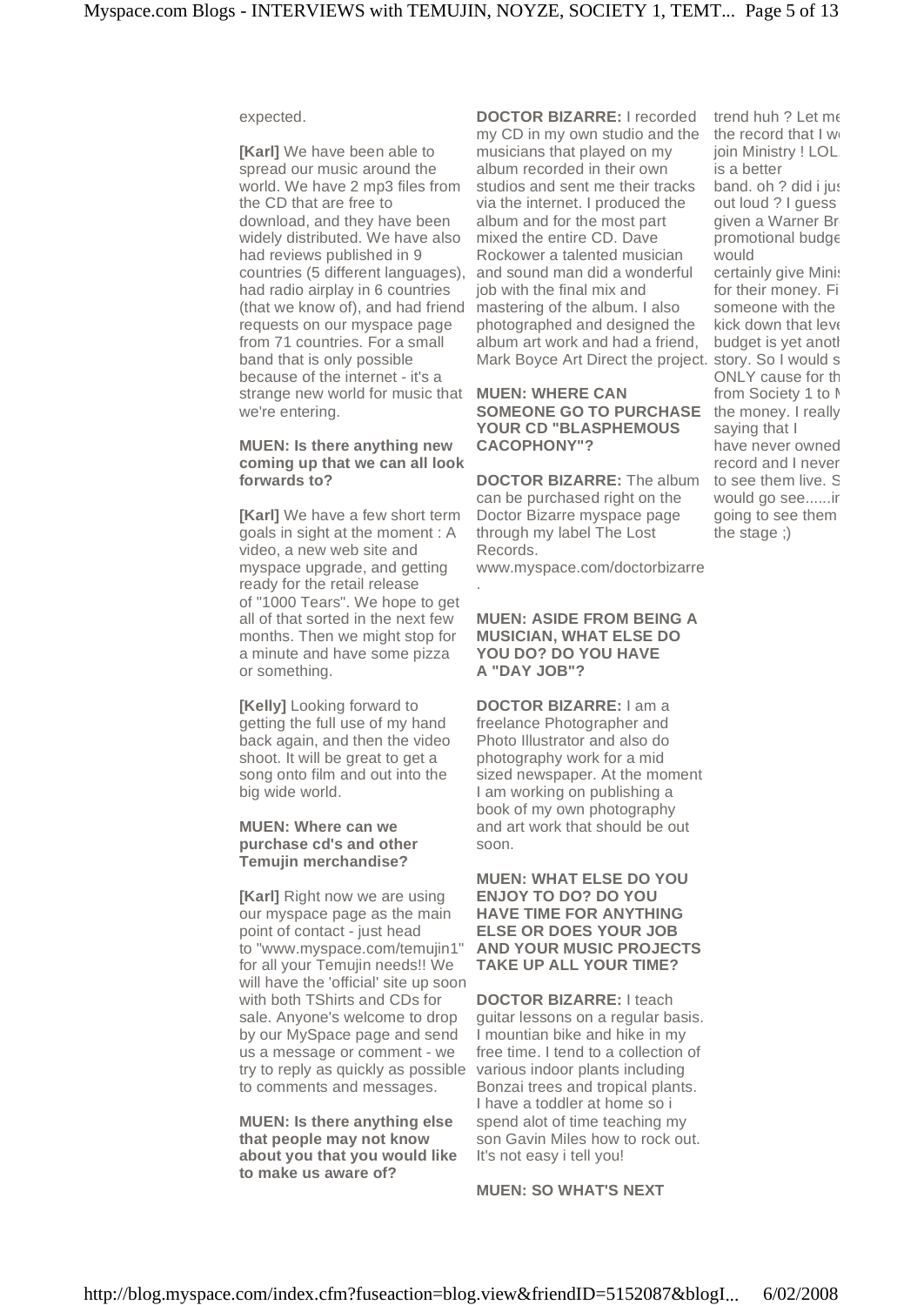#### expected.

**[Karl]** We have been able to spread our music around the world. We have 2 mp3 files from the CD that are free to download, and they have been widely distributed. We have also had reviews published in 9 countries (5 different languages), had radio airplay in 6 countries (that we know of), and had friend requests on our myspace page from 71 countries. For a small band that is only possible because of the internet - it's a strange new world for music that we're entering.

#### **MUEN: Is there anything new coming up that we can all look forwards to?**

**[Karl]** We have a few short term goals in sight at the moment : A video, a new web site and myspace upgrade, and getting ready for the retail release of "1000 Tears". We hope to get all of that sorted in the next few months. Then we might stop for a minute and have some pizza or something.

**[Kelly]** Looking forward to getting the full use of my hand back again, and then the video shoot. It will be great to get a song onto film and out into the big wide world.

#### **MUEN: Where can we purchase cd's and other Temujin merchandise?**

**[Karl]** Right now we are using our myspace page as the main point of contact - just head to "www.myspace.com/temujin1" for all your Temujin needs!! We will have the 'official' site up soon with both TShirts and CDs for sale. Anyone's welcome to drop by our MySpace page and send us a message or comment - we try to reply as quickly as possible to comments and messages.

**MUEN: Is there anything else that people may not know about you that you would like to make us aware of?**

**DOCTOR BIZARRE:** I recorded my CD in my own studio and the musicians that played on my album recorded in their own studios and sent me their tracks via the internet. I produced the album and for the most part mixed the entire CD. Dave Rockower a talented musician and sound man did a wonderful job with the final mix and mastering of the album. I also photographed and designed the album art work and had a friend, Mark Boyce Art Direct the project. story. So I would s

**MUEN: WHERE CAN SOMEONE GO TO PURCHASE** the money. I really **YOUR CD "BLASPHEMOUS CACOPHONY"?**

**DOCTOR BIZARRE:** The album can be purchased right on the Doctor Bizarre myspace page through my label The Lost Records.

[www.myspace.com/doctorbizarre](http://www.myspace.com/doctorbizarre)

.

#### **MUEN: ASIDE FROM BEING A MUSICIAN, WHAT ELSE DO YOU DO? DO YOU HAVE A "DAY JOB"?**

**DOCTOR BIZARRE:** I am a freelance Photographer and Photo Illustrator and also do photography work for a mid sized newspaper. At the moment I am working on publishing a book of my own photography and art work that should be out soon.

#### **MUEN: WHAT ELSE DO YOU ENJOY TO DO? DO YOU HAVE TIME FOR ANYTHING ELSE OR DOES YOUR JOB AND YOUR MUSIC PROJECTS TAKE UP ALL YOUR TIME?**

**DOCTOR BIZARRE:** I teach guitar lessons on a regular basis. I mountian bike and hike in my free time. I tend to a collection of various indoor plants including Bonzai trees and tropical plants. I have a toddler at home so i spend alot of time teaching my son Gavin Miles how to rock out. It's not easy i tell you!

**MUEN: SO WHAT'S NEXT**

trend huh  $?$  Let me the record that  $I$  we join Ministry ! LOL is a better band. oh ? did i just out loud ? I guess given a Warner Br promotional budg $\epsilon$ would certainly give Minist for their money. Fi someone with the kick down that leve budget is yet anotl ONLY cause for th from Society 1 to I saying that I have never owned record and I never to see them live. S would go see......ir going to see them the stage ;)